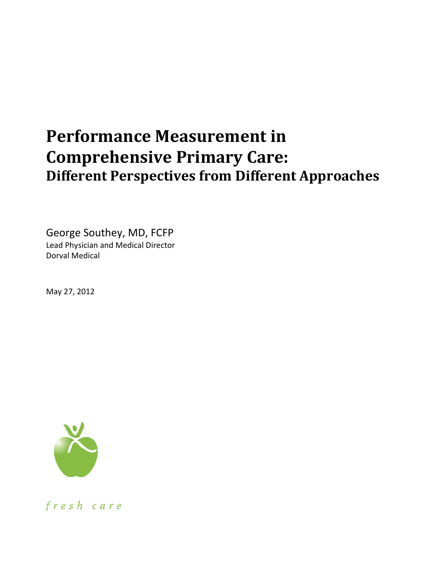# **Performance Measurement in Comprehensive Primary Care: Different Perspectives from Different Approaches**

George Southey, MD, FCFP Lead Physician and Medical Director Dorval Medical

May 27, 2012



fresh care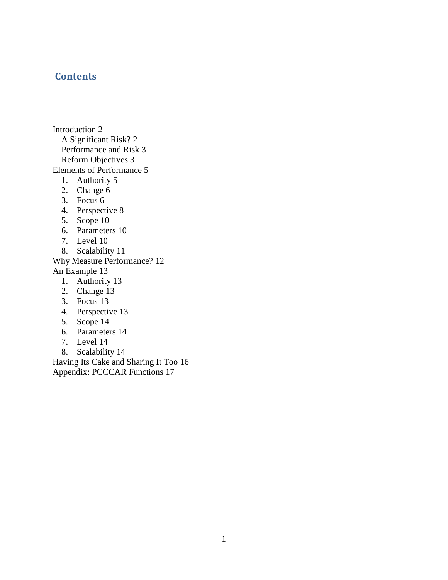### **Contents**

[Introduction](#page-2-0) 2 [A Significant Risk?](#page-2-1) 2 [Performance and Risk](#page-3-0) 3 [Reform Objectives](#page-3-1) 3 [Elements of Performance](#page-5-0) 5 1. [Authority](#page-5-1) 5 2. [Change](#page-6-0) 6 3. [Focus](#page-6-1) 6 4. [Perspective](#page-8-0) 8 5. [Scope](#page-10-0) 10 6. [Parameters](#page-10-1) 10 7. [Level](#page-10-2) 10 8. [Scalability](#page-11-0) 11 [Why Measure Performance?](#page-12-0) 12 [An Example](#page-13-0) 13 1. [Authority](#page-13-1) 13 2. [Change](#page-13-2) 13 3. [Focus](#page-13-3) 13 4. [Perspective](#page-13-4) 13 5. [Scope](#page-14-0) 14 6. [Parameters](#page-14-1) 14 7. [Level](#page-14-2) 14

8. [Scalability](#page-14-3) 14

[Having Its Cake and Sharing It Too](#page-16-0) 16 [Appendix: PCCCAR Functions](#page-17-0) 17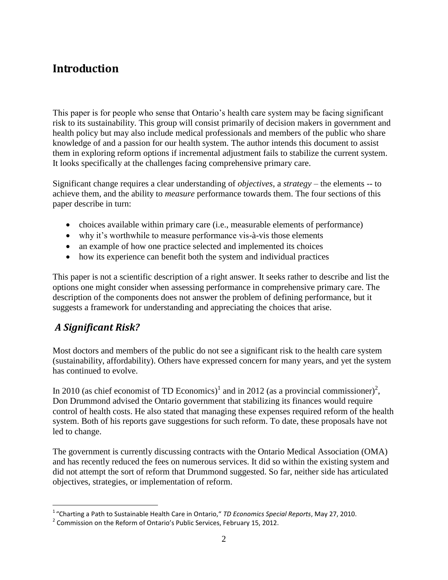# <span id="page-2-0"></span>**Introduction**

This paper is for people who sense that Ontario's health care system may be facing significant risk to its sustainability. This group will consist primarily of decision makers in government and health policy but may also include medical professionals and members of the public who share knowledge of and a passion for our health system. The author intends this document to assist them in exploring reform options if incremental adjustment fails to stabilize the current system. It looks specifically at the challenges facing comprehensive primary care.

Significant change requires a clear understanding of *objectives*, a *strategy* – the elements -- to achieve them, and the ability to *measure* performance towards them. The four sections of this paper describe in turn:

- choices available within primary care (i.e., measurable elements of performance)
- why it's worthwhile to measure performance vis-à-vis those elements
- an example of how one practice selected and implemented its choices
- how its experience can benefit both the system and individual practices

This paper is not a scientific description of a right answer. It seeks rather to describe and list the options one might consider when assessing performance in comprehensive primary care. The description of the components does not answer the problem of defining performance, but it suggests a framework for understanding and appreciating the choices that arise.

### <span id="page-2-1"></span>*A Significant Risk?*

 $\overline{a}$ 

Most doctors and members of the public do not see a significant risk to the health care system (sustainability, affordability). Others have expressed concern for many years, and yet the system has continued to evolve.

In 2010 (as chief economist of TD Economics)<sup>1</sup> and in 2012 (as a provincial commissioner)<sup>2</sup>, Don Drummond advised the Ontario government that stabilizing its finances would require control of health costs. He also stated that managing these expenses required reform of the health system. Both of his reports gave suggestions for such reform. To date, these proposals have not led to change.

The government is currently discussing contracts with the Ontario Medical Association (OMA) and has recently reduced the fees on numerous services. It did so within the existing system and did not attempt the sort of reform that Drummond suggested. So far, neither side has articulated objectives, strategies, or implementation of reform.

<sup>1</sup> "Charting a Path to Sustainable Health Care in Ontario," *TD Economics Special Reports*, May 27, 2010.

 $^2$  Commission on the Reform of Ontario's Public Services, February 15, 2012.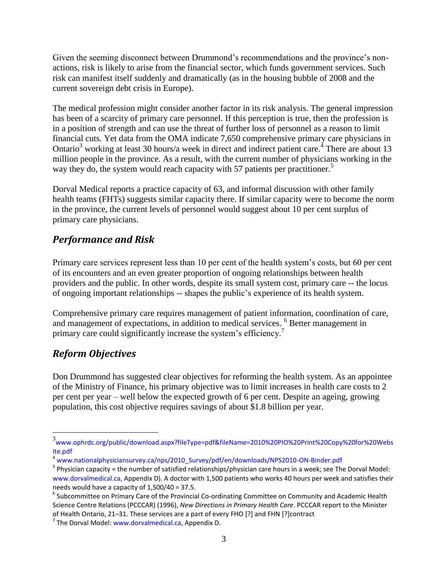Given the seeming disconnect between Drummond's recommendations and the province's nonactions, risk is likely to arise from the financial sector, which funds government services. Such risk can manifest itself suddenly and dramatically (as in the housing bubble of 2008 and the current sovereign debt crisis in Europe).

The medical profession might consider another factor in its risk analysis. The general impression has been of a scarcity of primary care personnel. If this perception is true, then the profession is in a position of strength and can use the threat of further loss of personnel as a reason to limit financial cuts. Yet data from the OMA indicate 7,650 comprehensive primary care physicians in Ontario<sup>3</sup> working at least 30 hours/a week in direct and indirect patient care.<sup>4</sup> There are about 13 million people in the province. As a result, with the current number of physicians working in the way they do, the system would reach capacity with 57 patients per practitioner.<sup>5</sup>

Dorval Medical reports a practice capacity of 63, and informal discussion with other family health teams (FHTs) suggests similar capacity there. If similar capacity were to become the norm in the province, the current levels of personnel would suggest about 10 per cent surplus of primary care physicians.

### <span id="page-3-0"></span>*Performance and Risk*

Primary care services represent less than 10 per cent of the health system"s costs, but 60 per cent of its encounters and an even greater proportion of ongoing relationships between health providers and the public. In other words, despite its small system cost, primary care -- the locus of ongoing important relationships -- shapes the public"s experience of its health system.

Comprehensive primary care requires management of patient information, coordination of care, and management of expectations, in addition to medical services. <sup>6</sup> Better management in primary care could significantly increase the system's efficiency.<sup>7</sup>

### <span id="page-3-1"></span>*Reform Objectives*

Don Drummond has suggested clear objectives for reforming the health system. As an appointee of the Ministry of Finance, his primary objective was to limit increases in health care costs to 2 per cent per year – well below the expected growth of 6 per cent. Despite an ageing, growing population, this cost objective requires savings of about \$1.8 billion per year.

 3 [www.ophrdc.org/public/download.aspx?fileType=pdf&fileName=2010%20PIO%20Print%20Copy%20for%20Webs](http://www.ophrdc.org/public/download.aspx?fileType=pdf&fileName=2010%20PIO%20Print%20Copy%20for%20Website.pdf) [ite.pdf](http://www.ophrdc.org/public/download.aspx?fileType=pdf&fileName=2010%20PIO%20Print%20Copy%20for%20Website.pdf)

<sup>4</sup> [www.nationalphysiciansurvey.ca/nps/2010\\_Survey/pdf/en/downloads/NPS2010-ON-Binder.pdf](http://www.nationalphysiciansurvey.ca/nps/2010_Survey/pdf/en/downloads/NPS2010-ON-Binder.pdf)

<sup>&</sup>lt;sup>5</sup> Physician capacity = the number of satisfied relationships/physician care hours in a week; see The Dorval Model: [www.dorvalmedical.ca,](http://www.dorvalmedical.ca/) Appendix D). A doctor with 1,500 patients who works 40 hours per week and satisfies their needs would have a capacity of 1,500/40 = 37.5.

<sup>&</sup>lt;sup>6</sup> Subcommittee on Primary Care of the Provincial Co-ordinating Committee on Community and Academic Health Science Centre Relations (PCCCAR) (1996), *New Directions in Primary Health Care*. PCCCAR report to the Minister of Health Ontario, 21–31. These services are a part of every FHO [?] and FHN [?]contract

<sup>&</sup>lt;sup>7</sup> The Dorval Model: [www.dorvalmedical.ca,](http://www.dorvalmedical.ca/) Appendix D.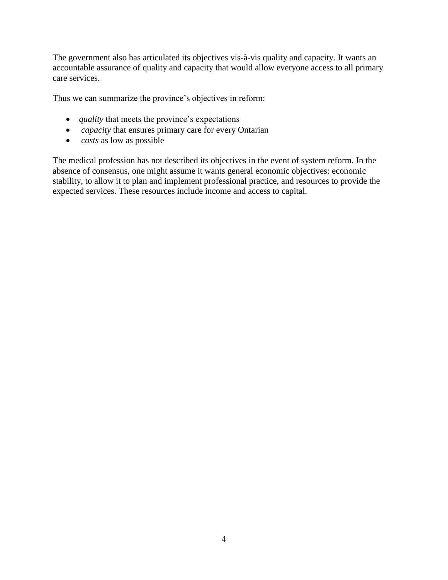The government also has articulated its objectives vis-à-vis quality and capacity. It wants an accountable assurance of quality and capacity that would allow everyone access to all primary care services.

Thus we can summarize the province's objectives in reform:

- *quality* that meets the province's expectations
- *capacity* that ensures primary care for every Ontarian
- *costs* as low as possible

The medical profession has not described its objectives in the event of system reform. In the absence of consensus, one might assume it wants general economic objectives: economic stability, to allow it to plan and implement professional practice, and resources to provide the expected services. These resources include income and access to capital.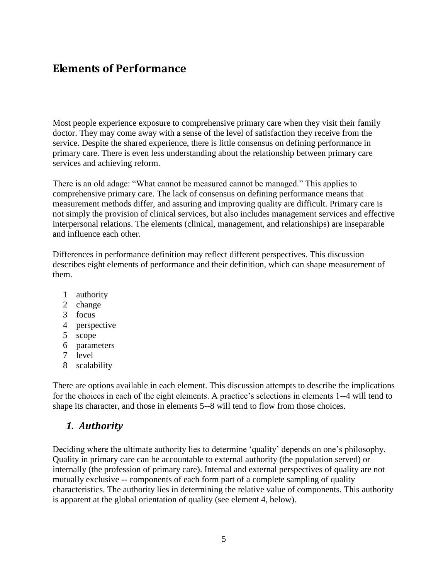# <span id="page-5-0"></span>**Elements of Performance**

Most people experience exposure to comprehensive primary care when they visit their family doctor. They may come away with a sense of the level of satisfaction they receive from the service. Despite the shared experience, there is little consensus on defining performance in primary care. There is even less understanding about the relationship between primary care services and achieving reform.

There is an old adage: "What cannot be measured cannot be managed." This applies to comprehensive primary care. The lack of consensus on defining performance means that measurement methods differ, and assuring and improving quality are difficult. Primary care is not simply the provision of clinical services, but also includes management services and effective interpersonal relations. The elements (clinical, management, and relationships) are inseparable and influence each other.

Differences in performance definition may reflect different perspectives. This discussion describes eight elements of performance and their definition, which can shape measurement of them.

- 1 authority
- 2 change
- 3 focus
- 4 perspective
- 5 scope
- 6 parameters
- 7 level
- 8 scalability

There are options available in each element. This discussion attempts to describe the implications for the choices in each of the eight elements. A practice's selections in elements 1--4 will tend to shape its character, and those in elements 5--8 will tend to flow from those choices.

### <span id="page-5-1"></span>*1. Authority*

Deciding where the ultimate authority lies to determine "quality" depends on one"s philosophy. Quality in primary care can be accountable to external authority (the population served) or internally (the profession of primary care). Internal and external perspectives of quality are not mutually exclusive -- components of each form part of a complete sampling of quality characteristics. The authority lies in determining the relative value of components. This authority is apparent at the global orientation of quality (see element 4, below).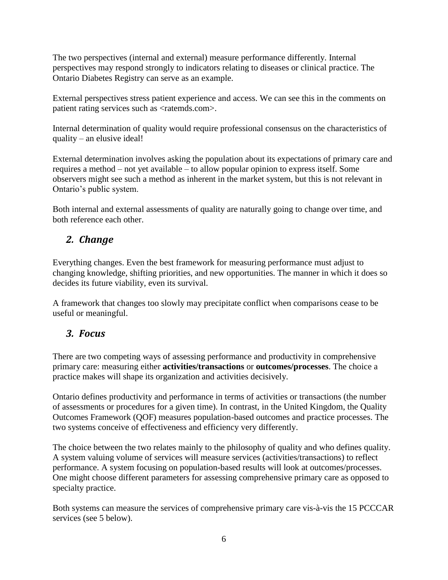The two perspectives (internal and external) measure performance differently. Internal perspectives may respond strongly to indicators relating to diseases or clinical practice. The Ontario Diabetes Registry can serve as an example.

External perspectives stress patient experience and access. We can see this in the comments on patient rating services such as <ratemds.com>.

Internal determination of quality would require professional consensus on the characteristics of quality – an elusive ideal!

External determination involves asking the population about its expectations of primary care and requires a method – not yet available – to allow popular opinion to express itself. Some observers might see such a method as inherent in the market system, but this is not relevant in Ontario"s public system.

Both internal and external assessments of quality are naturally going to change over time, and both reference each other.

# <span id="page-6-0"></span>*2. Change*

Everything changes. Even the best framework for measuring performance must adjust to changing knowledge, shifting priorities, and new opportunities. The manner in which it does so decides its future viability, even its survival.

A framework that changes too slowly may precipitate conflict when comparisons cease to be useful or meaningful.

# <span id="page-6-1"></span>*3. Focus*

There are two competing ways of assessing performance and productivity in comprehensive primary care: measuring either **activities/transactions** or **outcomes/processes**. The choice a practice makes will shape its organization and activities decisively.

Ontario defines productivity and performance in terms of activities or transactions (the number of assessments or procedures for a given time). In contrast, in the United Kingdom, the Quality Outcomes Framework (QOF) measures population-based outcomes and practice processes. The two systems conceive of effectiveness and efficiency very differently.

The choice between the two relates mainly to the philosophy of quality and who defines quality. A system valuing volume of services will measure services (activities/transactions) to reflect performance. A system focusing on population-based results will look at outcomes/processes. One might choose different parameters for assessing comprehensive primary care as opposed to specialty practice.

Both systems can measure the services of comprehensive primary care vis-à-vis the 15 PCCCAR services (see 5 below).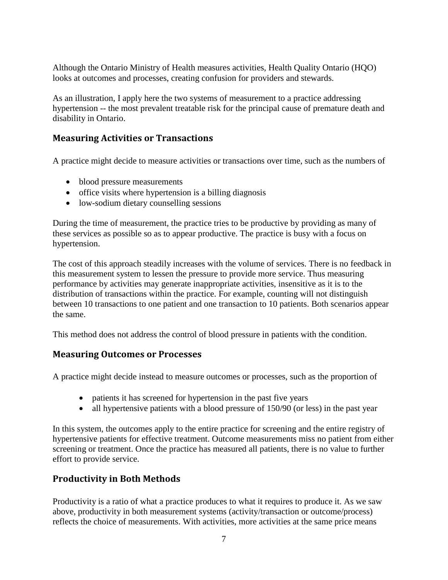Although the Ontario Ministry of Health measures activities, Health Quality Ontario (HQO) looks at outcomes and processes, creating confusion for providers and stewards.

As an illustration, I apply here the two systems of measurement to a practice addressing hypertension -- the most prevalent treatable risk for the principal cause of premature death and disability in Ontario.

### **Measuring Activities or Transactions**

A practice might decide to measure activities or transactions over time, such as the numbers of

- blood pressure measurements
- office visits where hypertension is a billing diagnosis
- low-sodium dietary counselling sessions

During the time of measurement, the practice tries to be productive by providing as many of these services as possible so as to appear productive. The practice is busy with a focus on hypertension.

The cost of this approach steadily increases with the volume of services. There is no feedback in this measurement system to lessen the pressure to provide more service. Thus measuring performance by activities may generate inappropriate activities, insensitive as it is to the distribution of transactions within the practice. For example, counting will not distinguish between 10 transactions to one patient and one transaction to 10 patients. Both scenarios appear the same.

This method does not address the control of blood pressure in patients with the condition.

#### **Measuring Outcomes or Processes**

A practice might decide instead to measure outcomes or processes, such as the proportion of

- patients it has screened for hypertension in the past five years
- all hypertensive patients with a blood pressure of 150/90 (or less) in the past year

In this system, the outcomes apply to the entire practice for screening and the entire registry of hypertensive patients for effective treatment. Outcome measurements miss no patient from either screening or treatment. Once the practice has measured all patients, there is no value to further effort to provide service.

### **Productivity in Both Methods**

Productivity is a ratio of what a practice produces to what it requires to produce it. As we saw above, productivity in both measurement systems (activity/transaction or outcome/process) reflects the choice of measurements. With activities, more activities at the same price means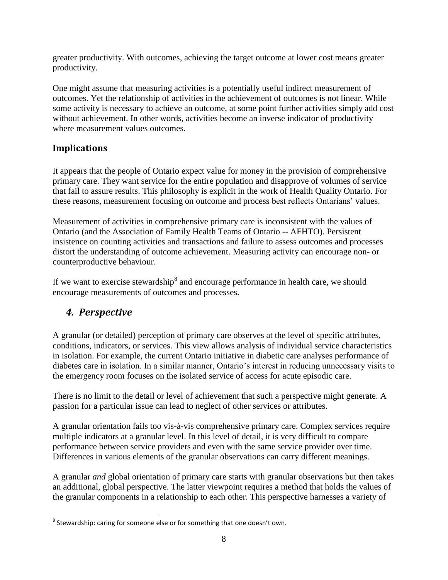greater productivity. With outcomes, achieving the target outcome at lower cost means greater productivity.

One might assume that measuring activities is a potentially useful indirect measurement of outcomes. Yet the relationship of activities in the achievement of outcomes is not linear. While some activity is necessary to achieve an outcome, at some point further activities simply add cost without achievement. In other words, activities become an inverse indicator of productivity where measurement values outcomes.

### **Implications**

It appears that the people of Ontario expect value for money in the provision of comprehensive primary care. They want service for the entire population and disapprove of volumes of service that fail to assure results. This philosophy is explicit in the work of Health Quality Ontario. For these reasons, measurement focusing on outcome and process best reflects Ontarians" values.

Measurement of activities in comprehensive primary care is inconsistent with the values of Ontario (and the Association of Family Health Teams of Ontario -- AFHTO). Persistent insistence on counting activities and transactions and failure to assess outcomes and processes distort the understanding of outcome achievement. Measuring activity can encourage non- or counterproductive behaviour.

If we want to exercise stewardship<sup>8</sup> and encourage performance in health care, we should encourage measurements of outcomes and processes.

### <span id="page-8-0"></span>*4. Perspective*

A granular (or detailed) perception of primary care observes at the level of specific attributes, conditions, indicators, or services. This view allows analysis of individual service characteristics in isolation. For example, the current Ontario initiative in diabetic care analyses performance of diabetes care in isolation. In a similar manner, Ontario"s interest in reducing unnecessary visits to the emergency room focuses on the isolated service of access for acute episodic care.

There is no limit to the detail or level of achievement that such a perspective might generate. A passion for a particular issue can lead to neglect of other services or attributes.

A granular orientation fails too vis-à-vis comprehensive primary care. Complex services require multiple indicators at a granular level. In this level of detail, it is very difficult to compare performance between service providers and even with the same service provider over time. Differences in various elements of the granular observations can carry different meanings.

A granular *and* global orientation of primary care starts with granular observations but then takes an additional, global perspective. The latter viewpoint requires a method that holds the values of the granular components in a relationship to each other. This perspective harnesses a variety of

 $\overline{a}$  $^8$  Stewardship: caring for someone else or for something that one doesn't own.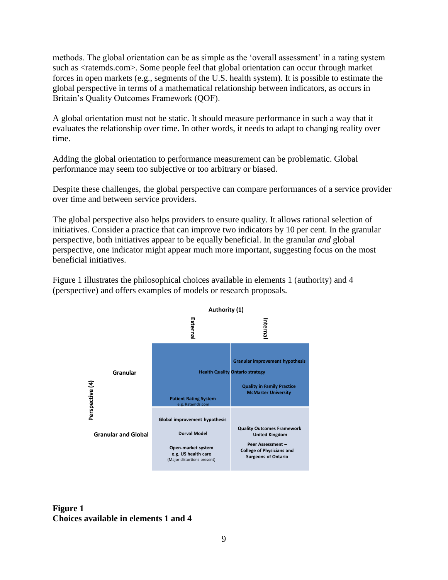methods. The global orientation can be as simple as the 'overall assessment' in a rating system such as <ratemds.com>. Some people feel that global orientation can occur through market forces in open markets (e.g., segments of the U.S. health system). It is possible to estimate the global perspective in terms of a mathematical relationship between indicators, as occurs in Britain"s Quality Outcomes Framework (QOF).

A global orientation must not be static. It should measure performance in such a way that it evaluates the relationship over time. In other words, it needs to adapt to changing reality over time.

Adding the global orientation to performance measurement can be problematic. Global performance may seem too subjective or too arbitrary or biased.

Despite these challenges, the global perspective can compare performances of a service provider over time and between service providers.

The global perspective also helps providers to ensure quality. It allows rational selection of initiatives. Consider a practice that can improve two indicators by 10 per cent. In the granular perspective, both initiatives appear to be equally beneficial. In the granular *and* global perspective, one indicator might appear much more important, suggesting focus on the most beneficial initiatives.

Figure 1 illustrates the philosophical choices available in elements 1 (authority) and 4 (perspective) and offers examples of models or research proposals.



#### **Figure 1 Choices available in elements 1 and 4**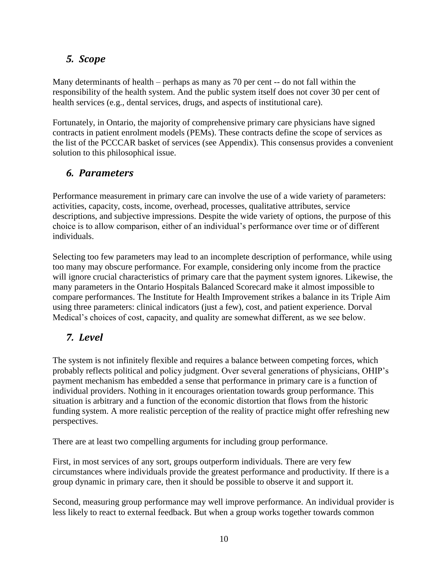### <span id="page-10-0"></span>*5. Scope*

Many determinants of health – perhaps as many as 70 per cent -- do not fall within the responsibility of the health system. And the public system itself does not cover 30 per cent of health services (e.g., dental services, drugs, and aspects of institutional care).

Fortunately, in Ontario, the majority of comprehensive primary care physicians have signed contracts in patient enrolment models (PEMs). These contracts define the scope of services as the list of the PCCCAR basket of services (see Appendix). This consensus provides a convenient solution to this philosophical issue.

### <span id="page-10-1"></span>*6. Parameters*

Performance measurement in primary care can involve the use of a wide variety of parameters: activities, capacity, costs, income, overhead, processes, qualitative attributes, service descriptions, and subjective impressions. Despite the wide variety of options, the purpose of this choice is to allow comparison, either of an individual"s performance over time or of different individuals.

Selecting too few parameters may lead to an incomplete description of performance, while using too many may obscure performance. For example, considering only income from the practice will ignore crucial characteristics of primary care that the payment system ignores. Likewise, the many parameters in the Ontario Hospitals Balanced Scorecard make it almost impossible to compare performances. The Institute for Health Improvement strikes a balance in its Triple Aim using three parameters: clinical indicators (just a few), cost, and patient experience. Dorval Medical"s choices of cost, capacity, and quality are somewhat different, as we see below.

# <span id="page-10-2"></span>*7. Level*

The system is not infinitely flexible and requires a balance between competing forces, which probably reflects political and policy judgment. Over several generations of physicians, OHIP"s payment mechanism has embedded a sense that performance in primary care is a function of individual providers. Nothing in it encourages orientation towards group performance. This situation is arbitrary and a function of the economic distortion that flows from the historic funding system. A more realistic perception of the reality of practice might offer refreshing new perspectives.

There are at least two compelling arguments for including group performance.

First, in most services of any sort, groups outperform individuals. There are very few circumstances where individuals provide the greatest performance and productivity. If there is a group dynamic in primary care, then it should be possible to observe it and support it.

Second, measuring group performance may well improve performance. An individual provider is less likely to react to external feedback. But when a group works together towards common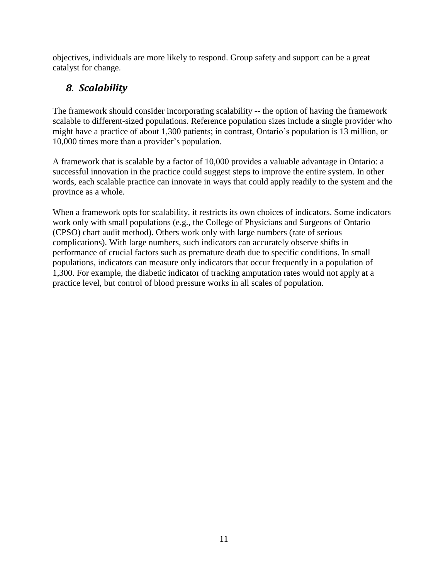objectives, individuals are more likely to respond. Group safety and support can be a great catalyst for change.

# <span id="page-11-0"></span>*8. Scalability*

The framework should consider incorporating scalability -- the option of having the framework scalable to different-sized populations. Reference population sizes include a single provider who might have a practice of about 1,300 patients; in contrast, Ontario"s population is 13 million, or 10,000 times more than a provider"s population.

A framework that is scalable by a factor of 10,000 provides a valuable advantage in Ontario: a successful innovation in the practice could suggest steps to improve the entire system. In other words, each scalable practice can innovate in ways that could apply readily to the system and the province as a whole.

When a framework opts for scalability, it restricts its own choices of indicators. Some indicators work only with small populations (e.g., the College of Physicians and Surgeons of Ontario (CPSO) chart audit method). Others work only with large numbers (rate of serious complications). With large numbers, such indicators can accurately observe shifts in performance of crucial factors such as premature death due to specific conditions. In small populations, indicators can measure only indicators that occur frequently in a population of 1,300. For example, the diabetic indicator of tracking amputation rates would not apply at a practice level, but control of blood pressure works in all scales of population.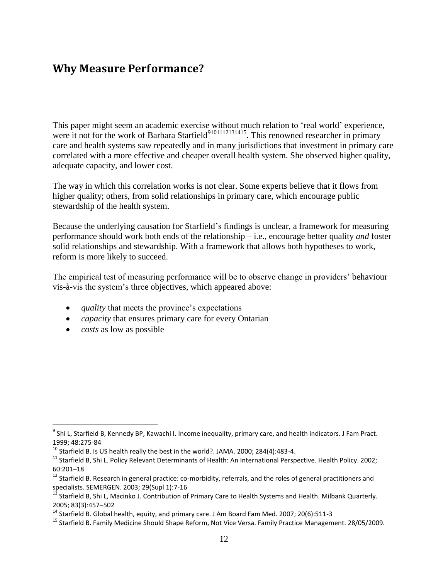# <span id="page-12-0"></span>**Why Measure Performance?**

This paper might seem an academic exercise without much relation to 'real world' experience, were it not for the work of Barbara Starfield<sup>9101112131415</sup>. This renowned researcher in primary care and health systems saw repeatedly and in many jurisdictions that investment in primary care correlated with a more effective and cheaper overall health system. She observed higher quality, adequate capacity, and lower cost.

The way in which this correlation works is not clear. Some experts believe that it flows from higher quality; others, from solid relationships in primary care, which encourage public stewardship of the health system.

Because the underlying causation for Starfield"s findings is unclear, a framework for measuring performance should work both ends of the relationship – i.e., encourage better quality *and* foster solid relationships and stewardship. With a framework that allows both hypotheses to work, reform is more likely to succeed.

The empirical test of measuring performance will be to observe change in providers' behaviour vis-à-vis the system"s three objectives, which appeared above:

- *quality* that meets the province's expectations
- *capacity* that ensures primary care for every Ontarian
- *costs* as low as possible

 $\overline{a}$ 

<sup>&</sup>lt;sup>9</sup> Shi L, Starfield B, Kennedy BP, Kawachi I. Income inequality, primary care, and health indicators. J Fam Pract. 1999; 48:275-84

 $10$  Starfield B. Is US health really the best in the world?. JAMA. 2000; 284(4):483-4.

<sup>&</sup>lt;sup>11</sup> Starfield B, Shi L. Policy Relevant Determinants of Health: An International Perspective. Health Policy. 2002; 60:201–18

 $12$  Starfield B. Research in general practice: co-morbidity, referrals, and the roles of general practitioners and specialists. SEMERGEN. 2003; 29(Supl 1):7-16

<sup>&</sup>lt;sup>13</sup> Starfield B, Shi L, Macinko J. Contribution of Primary Care to Health Systems and Health. Milbank Quarterly. 2005; 83(3):457–502

 $14$  Starfield B. Global health, equity, and primary care. J Am Board Fam Med. 2007; 20(6):511-3

<sup>&</sup>lt;sup>15</sup> Starfield B. Family Medicine Should Shape Reform, Not Vice Versa. Family Practice Management. 28/05/2009.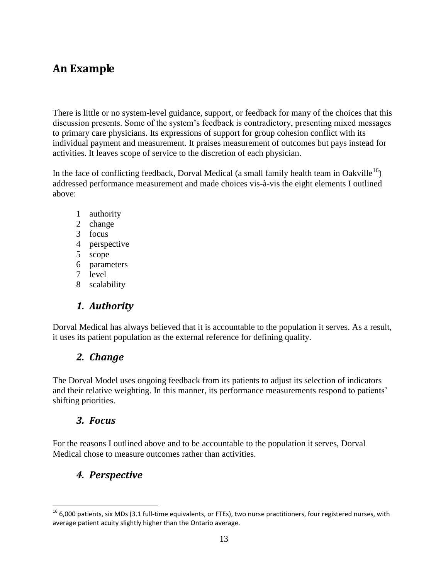# <span id="page-13-0"></span>**An Example**

There is little or no system-level guidance, support, or feedback for many of the choices that this discussion presents. Some of the system"s feedback is contradictory, presenting mixed messages to primary care physicians. Its expressions of support for group cohesion conflict with its individual payment and measurement. It praises measurement of outcomes but pays instead for activities. It leaves scope of service to the discretion of each physician.

In the face of conflicting feedback, Dorval Medical (a small family health team in Oakville<sup>16</sup>) addressed performance measurement and made choices vis-à-vis the eight elements I outlined above:

- 1 authority
- 2 change
- 3 focus
- 4 perspective
- 5 scope
- 6 parameters
- 7 level
- 8 scalability

# *1. Authority*

<span id="page-13-2"></span><span id="page-13-1"></span>Dorval Medical has always believed that it is accountable to the population it serves. As a result, it uses its patient population as the external reference for defining quality.

# *2. Change*

The Dorval Model uses ongoing feedback from its patients to adjust its selection of indicators and their relative weighting. In this manner, its performance measurements respond to patients' shifting priorities.

### <span id="page-13-3"></span>*3. Focus*

 $\overline{a}$ 

For the reasons I outlined above and to be accountable to the population it serves, Dorval Medical chose to measure outcomes rather than activities.

# <span id="page-13-4"></span>*4. Perspective*

 $16$  6,000 patients, six MDs (3.1 full-time equivalents, or FTEs), two nurse practitioners, four registered nurses, with average patient acuity slightly higher than the Ontario average.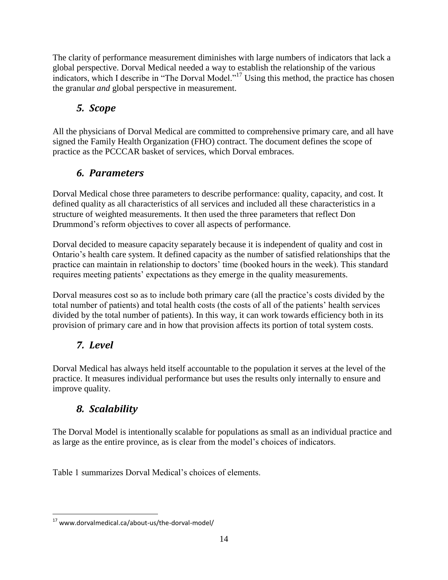The clarity of performance measurement diminishes with large numbers of indicators that lack a global perspective. Dorval Medical needed a way to establish the relationship of the various indicators, which I describe in "The Dorval Model."<sup>17</sup> Using this method, the practice has chosen the granular *and* global perspective in measurement.

# <span id="page-14-0"></span>*5. Scope*

All the physicians of Dorval Medical are committed to comprehensive primary care, and all have signed the Family Health Organization (FHO) contract. The document defines the scope of practice as the PCCCAR basket of services, which Dorval embraces.

# *6. Parameters*

<span id="page-14-1"></span>Dorval Medical chose three parameters to describe performance: quality, capacity, and cost. It defined quality as all characteristics of all services and included all these characteristics in a structure of weighted measurements. It then used the three parameters that reflect Don Drummond"s reform objectives to cover all aspects of performance.

Dorval decided to measure capacity separately because it is independent of quality and cost in Ontario"s health care system. It defined capacity as the number of satisfied relationships that the practice can maintain in relationship to doctors" time (booked hours in the week). This standard requires meeting patients" expectations as they emerge in the quality measurements.

Dorval measures cost so as to include both primary care (all the practice's costs divided by the total number of patients) and total health costs (the costs of all of the patients" health services divided by the total number of patients). In this way, it can work towards efficiency both in its provision of primary care and in how that provision affects its portion of total system costs.

# <span id="page-14-2"></span>*7. Level*

Dorval Medical has always held itself accountable to the population it serves at the level of the practice. It measures individual performance but uses the results only internally to ensure and improve quality.

# <span id="page-14-3"></span>*8. Scalability*

The Dorval Model is intentionally scalable for populations as small as an individual practice and as large as the entire province, as is clear from the model"s choices of indicators.

Table 1 summarizes Dorval Medical's choices of elements.

 $\overline{a}$ <sup>17</sup> www.dorvalmedical.ca/about-us/the-dorval-model/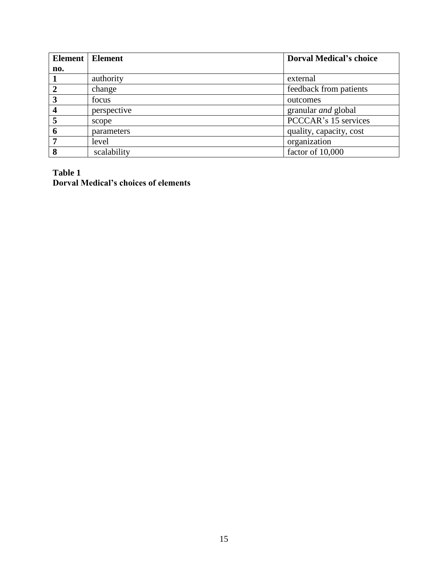|     | Element   Element | <b>Dorval Medical's choice</b> |
|-----|-------------------|--------------------------------|
| no. |                   |                                |
|     | authority         | external                       |
|     | change            | feedback from patients         |
|     | focus             | outcomes                       |
|     | perspective       | granular <i>and</i> global     |
|     | scope             | PCCCAR's 15 services           |
|     | parameters        | quality, capacity, cost        |
|     | level             | organization                   |
|     | scalability       | factor of 10,000               |

#### **Table 1 Dorval Medical's choices of elements**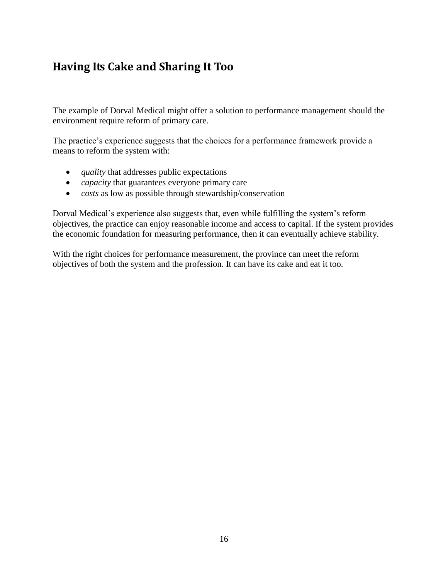# <span id="page-16-0"></span>**Having Its Cake and Sharing It Too**

The example of Dorval Medical might offer a solution to performance management should the environment require reform of primary care.

The practice's experience suggests that the choices for a performance framework provide a means to reform the system with:

- *quality* that addresses public expectations
- *capacity* that guarantees everyone primary care
- *costs* as low as possible through stewardship/conservation

Dorval Medical"s experience also suggests that, even while fulfilling the system"s reform objectives, the practice can enjoy reasonable income and access to capital. If the system provides the economic foundation for measuring performance, then it can eventually achieve stability.

With the right choices for performance measurement, the province can meet the reform objectives of both the system and the profession. It can have its cake and eat it too.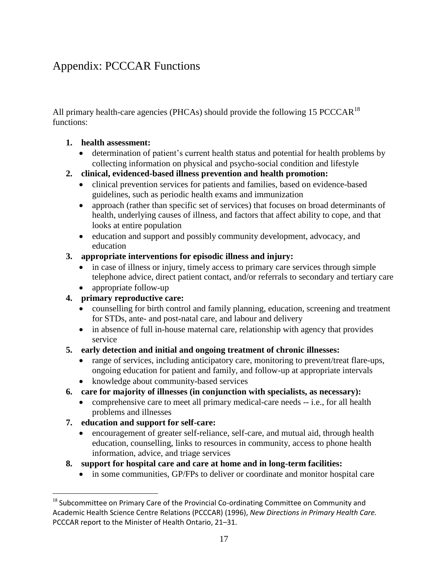# <span id="page-17-0"></span>Appendix: PCCCAR Functions

All primary health-care agencies (PHCAs) should provide the following 15 PCCCAR<sup>18</sup> functions:

#### **1. health assessment:**

- determination of patient"s current health status and potential for health problems by collecting information on physical and psycho-social condition and lifestyle
- **2. clinical, evidenced-based illness prevention and health promotion:**
	- clinical prevention services for patients and families, based on evidence-based guidelines, such as periodic health exams and immunization
	- approach (rather than specific set of services) that focuses on broad determinants of health, underlying causes of illness, and factors that affect ability to cope, and that looks at entire population
	- education and support and possibly community development, advocacy, and education

#### **3. appropriate interventions for episodic illness and injury:**

- in case of illness or injury, timely access to primary care services through simple telephone advice, direct patient contact, and/or referrals to secondary and tertiary care
- appropriate follow-up

### **4. primary reproductive care:**

- counselling for birth control and family planning, education, screening and treatment for STDs, ante- and post-natal care, and labour and delivery
- in absence of full in-house maternal care, relationship with agency that provides service

### **5. early detection and initial and ongoing treatment of chronic illnesses:**

- range of services, including anticipatory care, monitoring to prevent/treat flare-ups, ongoing education for patient and family, and follow-up at appropriate intervals
- knowledge about community-based services
- **6. care for majority of illnesses (in conjunction with specialists, as necessary):**
	- comprehensive care to meet all primary medical-care needs -- i.e., for all health problems and illnesses

### **7. education and support for self-care:**

 $\overline{a}$ 

- encouragement of greater self-reliance, self-care, and mutual aid, through health education, counselling, links to resources in community, access to phone health information, advice, and triage services
- **8. support for hospital care and care at home and in long-term facilities:**
	- in some communities, GP/FPs to deliver or coordinate and monitor hospital care

 $18$  Subcommittee on Primary Care of the Provincial Co-ordinating Committee on Community and Academic Health Science Centre Relations (PCCCAR) (1996), *New Directions in Primary Health Care.*  PCCCAR report to the Minister of Health Ontario, 21–31.